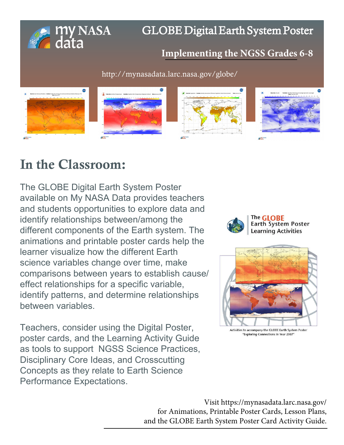

## GLOBE Digital Earth System Poster

### **[Implementing the NGSS Grades](http://mynasadata.larc.nasa.gov/globe/) 6-8**

http://mynasadata.larc.nasa.gov/globe/



## In the Classroom:

The GLOBE Digital Earth System Poster available on My NASA Data provides teachers and students opportunities to explore data and identify relationships between/among the different components of the Earth system. The animations and printable poster cards help the learner visualize how the different Earth science variables change over time, make comparisons between years to establish cause/ effect relationships for a specific variable, identify patterns, and determine relationships between variables.

Teachers, consider using the Digital Poster, poster cards, and the Learning Activity Guide as tools to support NGSS Science Practices, Disciplinary Core Ideas, and Crosscutting Concepts as they relate to Earth Science Performance Expectations.





Activities to accompany the GLOBE Earth System Poster "Exploring Connections in Year 2007

Visit https://mynasadata.larc.nasa.gov/ for Animations, Printable Poster Cards, Lesson Plans, [and the GLOBE Earth System Poster Card Activity Guide.](http://mynasadata.larc.nasa.gov/lesson-plans/lesson-plans-elementary-educators/)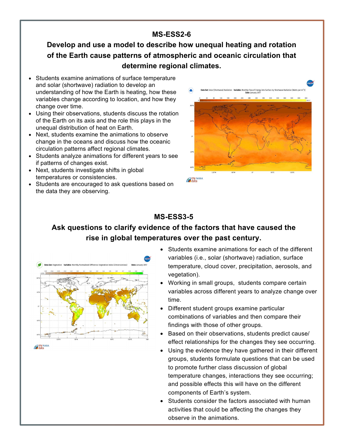#### **MS-ESS2-6**

**Develop and use a model to describe how unequal heating and rotation of the Earth cause patterns of atmospheric and oceanic circulation that determine regional climates.**

- Students examine animations of surface temperature and solar (shortwave) radiation to develop an understanding of how the Earth is heating, how these variables change according to location, and how they change over time.
- Using their observations, students discuss the rotation of the Earth on its axis and the role this plays in the unequal distribution of heat on Earth.
- Next, students examine the animations to observe change in the oceans and discuss how the oceanic circulation patterns affect regional climates.
- Students analyze animations for different years to see if patterns of changes exist.
- Next, students investigate shifts in global temperatures or consistencies.
- Students are encouraged to ask questions based on the data they are observing.



**E** my NASA

#### **MS-ESS3-5**

#### **Ask questions to clarify evidence of the factors that have caused the rise in global temperatures over the past century.**



• Students examine animations for each of the different variables (i.e., solar (shortwave) radiation, surface temperature, cloud cover, precipitation, aerosols, and vegetation).

- Working in small groups, students compare certain variables across different years to analyze change over time.
- Different student groups examine particular combinations of variables and then compare their findings with those of other groups.
- Based on their observations, students predict cause/ effect relationships for the changes they see occurring.
- Using the evidence they have gathered in their different groups, students formulate questions that can be used to promote further class discussion of global temperature changes, interactions they see occurring; and possible effects this will have on the different components of Earth's system.
- Students consider the factors associated with human activities that could be affecting the changes they observe in the animations.